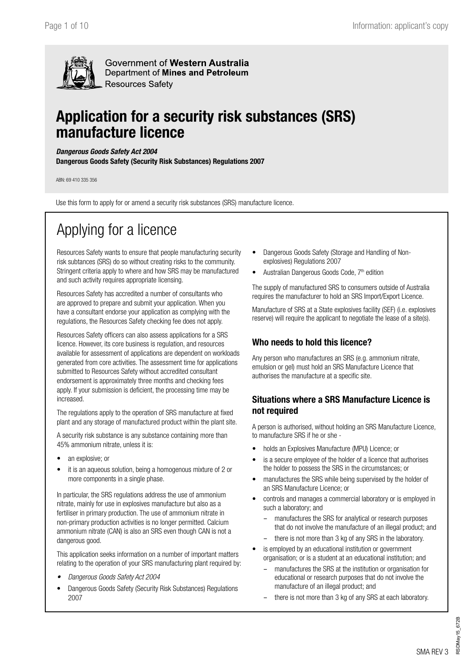

Government of Western Australia Department of Mines and Petroleum **Resources Safety** 

## Application for a security risk substances (SRS) manufacture licence

#### *Dangerous Goods Safety Act 2004*

Dangerous Goods Safety (Security Risk Substances) Regulations 2007

ABN: 69 410 335 356

Use this form to apply for or amend a security risk substances (SRS) manufacture licence.

# Applying for a licence

Resources Safety wants to ensure that people manufacturing security risk subtances (SRS) do so without creating risks to the community. Stringent criteria apply to where and how SRS may be manufactured and such activity requires appropriate licensing.

Resources Safety has accredited a number of consultants who are approved to prepare and submit your application. When you have a consultant endorse your application as complying with the regulations, the Resources Safety checking fee does not apply.

Resources Safety officers can also assess applications for a SRS licence. However, its core business is regulation, and resources available for assessment of applications are dependent on workloads generated from core activities. The assessment time for applications submitted to Resources Safety without accredited consultant endorsement is approximately three months and checking fees apply. If your submission is deficient, the processing time may be increased.

The regulations apply to the operation of SRS manufacture at fixed plant and any storage of manufactured product within the plant site.

A security risk substance is any substance containing more than 45% ammonium nitrate, unless it is:

- an explosive; or
- it is an aqueous solution, being a homogenous mixture of 2 or more components in a single phase.

In particular, the SRS regulations address the use of ammonium nitrate, mainly for use in explosives manufacture but also as a fertiliser in primary production. The use of ammonium nitrate in non-primary production activities is no longer permitted. Calcium ammonium nitrate (CAN) is also an SRS even though CAN is not a dangerous good.

This application seeks information on a number of important matters relating to the operation of your SRS manufacturing plant required by:

- *• Dangerous Goods Safety Act 2004*
- Dangerous Goods Safety (Security Risk Substances) Regulations 2007
- Dangerous Goods Safety (Storage and Handling of Nonexplosives) Regulations 2007
- Australian Dangerous Goods Code, 7<sup>th</sup> edition

The supply of manufactured SRS to consumers outside of Australia requires the manufacturer to hold an SRS Import/Export Licence.

Manufacture of SRS at a State explosives facility (SEF) (i.e. explosives reserve) will require the applicant to negotiate the lease of a site(s).

## Who needs to hold this licence?

Any person who manufactures an SRS (e.g. ammonium nitrate, emulsion or gel) must hold an SRS Manufacture Licence that authorises the manufacture at a specific site.

## Situations where a SRS Manufacture Licence is not required

A person is authorised, without holding an SRS Manufacture Licence, to manufacture SRS if he or she -

- holds an Explosives Manufacture (MPU) Licence; or
- is a secure employee of the holder of a licence that authorises the holder to possess the SRS in the circumstances; or
- manufactures the SRS while being supervised by the holder of an SRS Manufacture Licence; or
- controls and manages a commercial laboratory or is employed in such a laboratory; and
	- manufactures the SRS for analytical or research purposes that do not involve the manufacture of an illegal product; and
	- there is not more than 3 kg of any SRS in the laboratory.
- is employed by an educational institution or government organisation; or is a student at an educational institution; and
	- manufactures the SRS at the institution or organisation for educational or research purposes that do not involve the manufacture of an illegal product; and
	- there is not more than 3 kg of any SRS at each laboratory.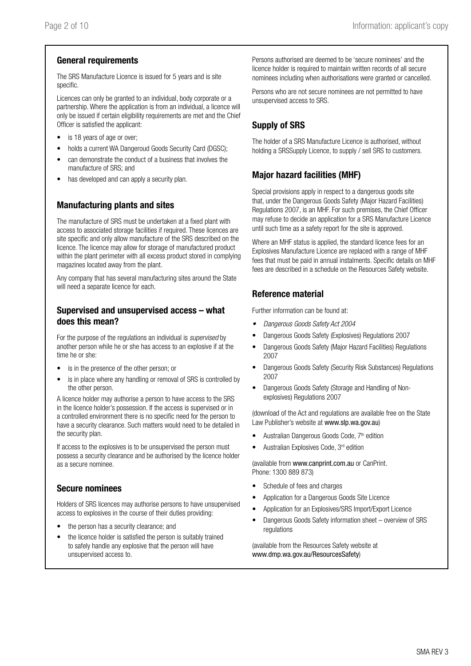#### General requirements

The SRS Manufacture Licence is issued for 5 years and is site specific.

Licences can only be granted to an individual, body corporate or a partnership. Where the application is from an individual, a licence will only be issued if certain eligibility requirements are met and the Chief Officer is satisfied the applicant:

- is 18 years of age or over:
- holds a current WA Dangeroud Goods Security Card (DGSC);
- can demonstrate the conduct of a business that involves the manufacture of SRS; and
- has developed and can apply a security plan.

#### Manufacturing plants and sites

The manufacture of SRS must be undertaken at a fixed plant with access to associated storage facilities if required. These licences are site specific and only allow manufacture of the SRS described on the licence. The licence may allow for storage of manufactured product within the plant perimeter with all excess product stored in complying magazines located away from the plant.

Any company that has several manufacturing sites around the State will need a separate licence for each.

#### Supervised and unsupervised access – what does this mean?

For the purpose of the regulations an individual is *supervised* by another person while he or she has access to an explosive if at the time he or she:

- is in the presence of the other person; or
- is in place where any handling or removal of SRS is controlled by the other person.

A licence holder may authorise a person to have access to the SRS in the licence holder's possession. If the access is supervised or in a controlled environment there is no specific need for the person to have a security clearance. Such matters would need to be detailed in the security plan.

If access to the explosives is to be unsupervised the person must possess a security clearance and be authorised by the licence holder as a secure nominee.

## Secure nominees

Holders of SRS licences may authorise persons to have unsupervised access to explosives in the course of their duties providing:

- the person has a security clearance; and
- the licence holder is satisfied the person is suitably trained to safely handle any explosive that the person will have unsupervised access to.

Persons authorised are deemed to be 'secure nominees' and the licence holder is required to maintain written records of all secure nominees including when authorisations were granted or cancelled.

Persons who are not secure nominees are not permitted to have unsupervised access to SRS.

## Supply of SRS

The holder of a SRS Manufacture Licence is authorised, without holding a SRSSupply Licence, to supply / sell SRS to customers.

## Major hazard facilities (MHF)

Special provisions apply in respect to a dangerous goods site that, under the Dangerous Goods Safety (Major Hazard Facilities) Regulations 2007, is an MHF. For such premises, the Chief Officer may refuse to decide an application for a SRS Manufacture Licence until such time as a safety report for the site is approved.

Where an MHF status is applied, the standard licence fees for an Explosives Manufacture Licence are replaced with a range of MHF fees that must be paid in annual instalments. Specific details on MHF fees are described in a schedule on the Resources Safety website.

## Reference material

Further information can be found at:

- *• Dangerous Goods Safety Act 2004*
- Dangerous Goods Safety (Explosives) Regulations 2007
- Dangerous Goods Safety (Major Hazard Facilities) Regulations 2007
- Dangerous Goods Safety (Security Risk Substances) Regulations 2007
- Dangerous Goods Safety (Storage and Handling of Nonexplosives) Regulations 2007

(download of the Act and regulations are available free on the State Law Publisher's website at www.slp.wa.gov.au)

- Australian Dangerous Goods Code, 7<sup>th</sup> edition
- Australian Explosives Code, 3rd edition

(available from www.canprint.com.au or CanPrint. Phone: 1300 889 873)

- Schedule of fees and charges
- Application for a Dangerous Goods Site Licence
- Application for an Explosives/SRS Import/Export Licence
- Dangerous Goods Safety information sheet overview of SRS regulations

(available from the Resources Safety website at www.dmp.wa.gov.au/ResourcesSafety)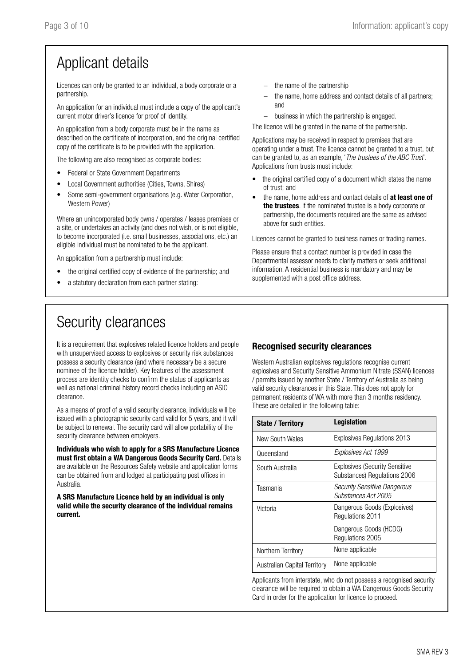## Applicant details

Licences can only be granted to an individual, a body corporate or a partnership.

An application for an individual must include a copy of the applicant's current motor driver's licence for proof of identity.

An application from a body corporate must be in the name as described on the certificate of incorporation, and the original certified copy of the certificate is to be provided with the application.

The following are also recognised as corporate bodies:

- Federal or State Government Departments
- Local Government authorities (Cities, Towns, Shires)
- Some semi-government organisations (e.g. Water Corporation, Western Power)

Where an unincorporated body owns / operates / leases premises or a site, or undertakes an activity (and does not wish, or is not eligible, to become incorporated (i.e. small businesses, associations, etc.) an eligible individual must be nominated to be the applicant.

An application from a partnership must include:

- the original certified copy of evidence of the partnership; and
- a statutory declaration from each partner stating:

## Security clearances

It is a requirement that explosives related licence holders and people with unsupervised access to explosives or security risk substances possess a security clearance (and where necessary be a secure nominee of the licence holder). Key features of the assessment process are identity checks to confirm the status of applicants as well as national criminal history record checks including an ASIO clearance.

As a means of proof of a valid security clearance, individuals will be issued with a photographic security card valid for 5 years, and it will be subject to renewal. The security card will allow portability of the security clearance between employers.

Individuals who wish to apply for a SRS Manufacture Licence must first obtain a WA Dangerous Goods Security Card. Details are available on the Resources Safety website and application forms can be obtained from and lodged at participating post offices in Australia.

A SRS Manufacture Licence held by an individual is only valid while the security clearance of the individual remains current.

- − the name of the partnership
- the name, home address and contact details of all partners; and
- − business in which the partnership is engaged.

The licence will be granted in the name of the partnership.

Applications may be received in respect to premises that are operating under a trust. The licence cannot be granted to a trust, but can be granted to, as an example, '*The trustees of the ABC Trust*'. Applications from trusts must include:

- the original certified copy of a document which states the name of trust; and
- the name, home address and contact details of at least one of the trustees. If the nominated trustee is a body corporate or partnership, the documents required are the same as advised above for such entities.

Licences cannot be granted to business names or trading names.

Please ensure that a contact number is provided in case the Departmental assessor needs to clarify matters or seek additional information. A residential business is mandatory and may be supplemented with a post office address.

## Recognised security clearances

Western Australian explosives regulations recognise current explosives and Security Sensitive Ammonium Nitrate (SSAN) licences / permits issued by another State / Territory of Australia as being valid security clearances in this State. This does not apply for permanent residents of WA with more than 3 months residency. These are detailed in the following table:

| State / Territory            | <b>Legislation</b>                                                    |
|------------------------------|-----------------------------------------------------------------------|
| New South Wales              | <b>Explosives Regulations 2013</b>                                    |
| Queensland                   | Explosives Act 1999                                                   |
| South Australia              | <b>Explosives (Security Sensitive</b><br>Substances) Regulations 2006 |
| Tasmania                     | <b>Security Sensitive Dangerous</b><br>Substances Act 2005            |
| Victoria                     | Dangerous Goods (Explosives)<br>Regulations 2011                      |
|                              | Dangerous Goods (HCDG)<br>Regulations 2005                            |
| Northern Territory           | None applicable                                                       |
| Australian Capital Territory | None applicable                                                       |

Applicants from interstate, who do not possess a recognised security clearance will be required to obtain a WA Dangerous Goods Security Card in order for the application for licence to proceed.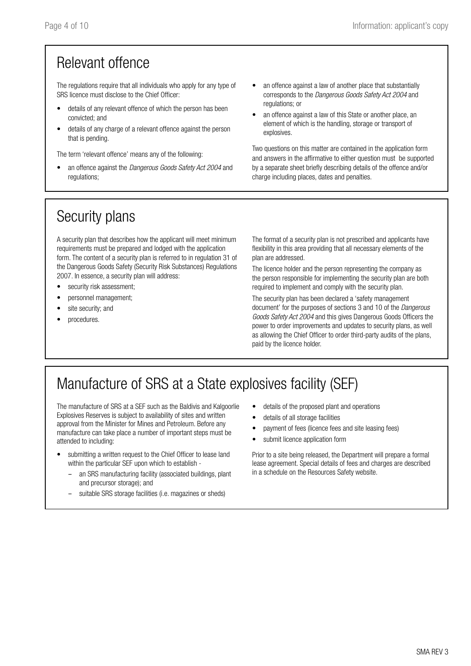## Relevant offence

The regulations require that all individuals who apply for any type of SRS licence must disclose to the Chief Officer:

- details of any relevant offence of which the person has been convicted; and
- details of any charge of a relevant offence against the person that is pending.

The term 'relevant offence' means any of the following:

- an offence against the *Dangerous Goods Safety Act 2004* and regulations;
- an offence against a law of another place that substantially corresponds to the *Dangerous Goods Safety Act 2004* and regulations; or
- an offence against a law of this State or another place, an element of which is the handling, storage or transport of explosives.

Two questions on this matter are contained in the application form and answers in the affirmative to either question must be supported by a separate sheet briefly describing details of the offence and/or charge including places, dates and penalties.

## Security plans

A security plan that describes how the applicant will meet minimum requirements must be prepared and lodged with the application form. The content of a security plan is referred to in regulation 31 of the Dangerous Goods Safety (Security Risk Substances) Regulations 2007. In essence, a security plan will address:

- security risk assessment;
- personnel management;
- site security; and
- procedures.

The format of a security plan is not prescribed and applicants have flexibility in this area providing that all necessary elements of the plan are addressed.

The licence holder and the person representing the company as the person responsible for implementing the security plan are both required to implement and comply with the security plan.

The security plan has been declared a 'safety management document' for the purposes of sections 3 and 10 of the *Dangerous Goods Safety Act 2004* and this gives Dangerous Goods Officers the power to order improvements and updates to security plans, as well as allowing the Chief Officer to order third-party audits of the plans, paid by the licence holder.

## Manufacture of SRS at a State explosives facility (SEF)

The manufacture of SRS at a SEF such as the Baldivis and Kalgoorlie Explosives Reserves is subject to availability of sites and written approval from the Minister for Mines and Petroleum. Before any manufacture can take place a number of important steps must be attended to including:

- submitting a written request to the Chief Officer to lease land within the particular SEF upon which to establish
	- an SRS manufacturing facility (associated buildings, plant and precursor storage); and
	- suitable SRS storage facilities (i.e. magazines or sheds)
- details of the proposed plant and operations
- details of all storage facilities
- payment of fees (licence fees and site leasing fees)
- submit licence application form

Prior to a site being released, the Department will prepare a formal lease agreement. Special details of fees and charges are described in a schedule on the Resources Safety website.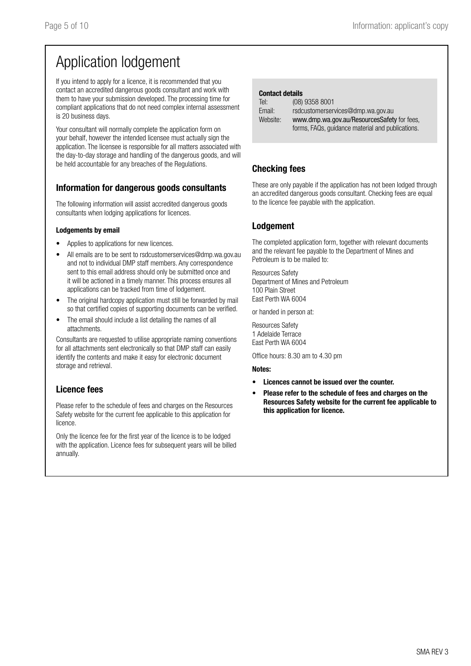# Application lodgement

If you intend to apply for a licence, it is recommended that you contact an accredited dangerous goods consultant and work with them to have your submission developed. The processing time for compliant applications that do not need complex internal assessment is 20 business days.

Your consultant will normally complete the application form on your behalf, however the intended licensee must actually sign the application. The licensee is responsible for all matters associated with the day-to-day storage and handling of the dangerous goods, and will be held accountable for any breaches of the Regulations.

## Information for dangerous goods consultants

The following information will assist accredited dangerous goods consultants when lodging applications for licences.

#### Lodgements by email

- Applies to applications for new licences.
- All emails are to be sent to rsdcustomerservices@dmp.wa.gov.au and not to individual DMP staff members. Any correspondence sent to this email address should only be submitted once and it will be actioned in a timely manner. This process ensures all applications can be tracked from time of lodgement.
- The original hardcopy application must still be forwarded by mail so that certified copies of supporting documents can be verified.
- The email should include a list detailing the names of all attachments.

Consultants are requested to utilise appropriate naming conventions for all attachments sent electronically so that DMP staff can easily identify the contents and make it easy for electronic document storage and retrieval.

## Licence fees

Please refer to the schedule of fees and charges on the Resources Safety website for the current fee applicable to this application for licence.

Only the licence fee for the first year of the licence is to be lodged with the application. Licence fees for subsequent years will be billed annually.

#### Contact details

| Tel:     | (08) 9358 8001                                   |
|----------|--------------------------------------------------|
| Email:   | rsdcustomerservices@dmp.wa.gov.au                |
| Website: | www.dmp.wa.gov.au/ResourcesSafety for fees,      |
|          | forms, FAQs, guidance material and publications. |

## Checking fees

These are only payable if the application has not been lodged through an accredited dangerous goods consultant. Checking fees are equal to the licence fee payable with the application.

## Lodgement

The completed application form, together with relevant documents and the relevant fee payable to the Department of Mines and Petroleum is to be mailed to:

Resources Safety Department of Mines and Petroleum 100 Plain Street East Perth WA 6004

or handed in person at:

Resources Safety 1 Adelaide Terrace East Perth WA 6004

Office hours: 8.30 am to 4.30 pm

#### Notes:

- Licences cannot be issued over the counter.
- Please refer to the schedule of fees and charges on the Resources Safety website for the current fee applicable to this application for licence.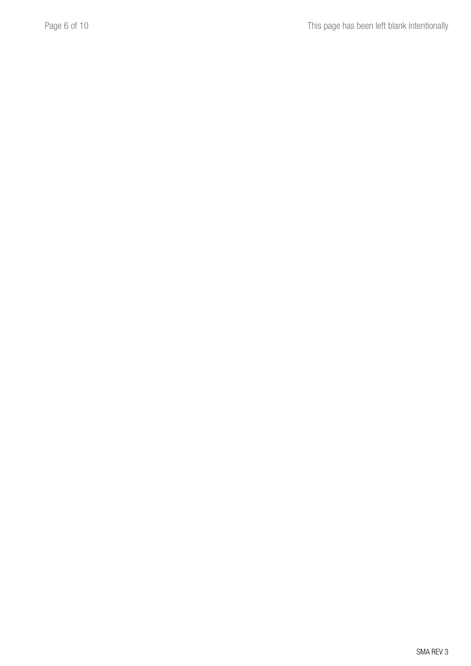Page 6 of 10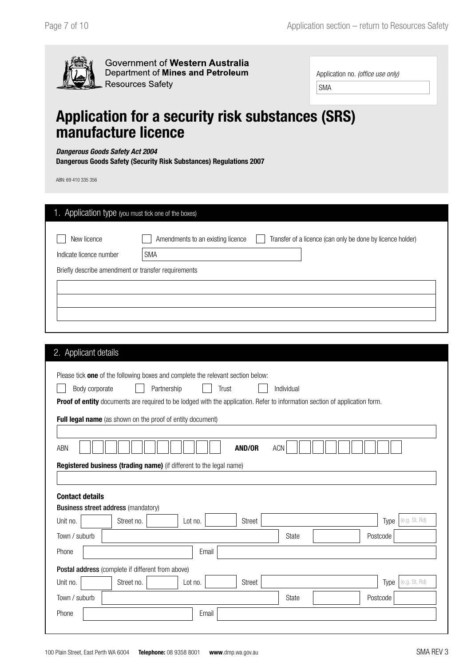

| Application no. <i>(office use only)</i> |  |
|------------------------------------------|--|
| SMA                                      |  |

## Application for a security risk substances (SRS) manufacture licence

*Dangerous Goods Safety Act 2004*

Dangerous Goods Safety (Security Risk Substances) Regulations 2007

ABN: 69 410 335 356

| 1. Application type (you must tick one of the boxes) |                                   |                                                            |
|------------------------------------------------------|-----------------------------------|------------------------------------------------------------|
| New licence                                          | Amendments to an existing licence | Transfer of a licence (can only be done by licence holder) |
| Indicate licence number                              | <b>SMA</b>                        |                                                            |
| Briefly describe amendment or transfer requirements  |                                   |                                                            |
|                                                      |                                   |                                                            |
|                                                      |                                   |                                                            |
|                                                      |                                   |                                                            |

| 2. Applicant details                                                                                                                                                              |            | Please tick one of the following boxes and complete the relevant section below: |       |               |                                                                                                                             |          |               |
|-----------------------------------------------------------------------------------------------------------------------------------------------------------------------------------|------------|---------------------------------------------------------------------------------|-------|---------------|-----------------------------------------------------------------------------------------------------------------------------|----------|---------------|
| Body corporate                                                                                                                                                                    |            | Partnership                                                                     | Trust |               | Individual                                                                                                                  |          |               |
|                                                                                                                                                                                   |            |                                                                                 |       |               | Proof of entity documents are required to be lodged with the application. Refer to information section of application form. |          |               |
|                                                                                                                                                                                   |            | Full legal name (as shown on the proof of entity document)                      |       |               |                                                                                                                             |          |               |
|                                                                                                                                                                                   |            |                                                                                 |       |               |                                                                                                                             |          |               |
| <b>ABN</b>                                                                                                                                                                        |            |                                                                                 |       | AND/OR        | <b>ACN</b>                                                                                                                  |          |               |
|                                                                                                                                                                                   |            |                                                                                 |       |               |                                                                                                                             |          |               |
|                                                                                                                                                                                   |            |                                                                                 |       |               |                                                                                                                             |          |               |
|                                                                                                                                                                                   |            |                                                                                 |       |               |                                                                                                                             |          |               |
|                                                                                                                                                                                   |            |                                                                                 |       |               |                                                                                                                             |          |               |
|                                                                                                                                                                                   |            |                                                                                 |       |               |                                                                                                                             |          |               |
|                                                                                                                                                                                   | Street no. | Lot no.                                                                         |       | <b>Street</b> |                                                                                                                             | Type     | (e.g. St, Rd) |
|                                                                                                                                                                                   |            |                                                                                 |       |               | State                                                                                                                       | Postcode |               |
|                                                                                                                                                                                   |            |                                                                                 | Email |               |                                                                                                                             |          |               |
| Registered business (trading name) (if different to the legal name)<br><b>Contact details</b><br><b>Business street address (mandatory)</b><br>Unit no.<br>Town / suburb<br>Phone |            |                                                                                 |       |               |                                                                                                                             |          |               |
| Postal address (complete if different from above)                                                                                                                                 |            |                                                                                 |       |               |                                                                                                                             |          |               |
|                                                                                                                                                                                   | Street no. | Lot no.                                                                         |       | <b>Street</b> |                                                                                                                             | Type     | (e.g. St, Rd) |
| Unit no.<br>Town / suburb                                                                                                                                                         |            |                                                                                 |       |               | State                                                                                                                       | Postcode |               |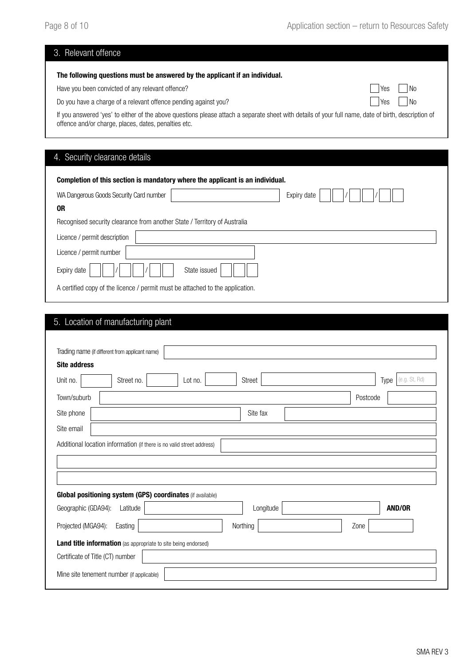| 3. Relevant offence                                                                                                                                                                                         |                  |
|-------------------------------------------------------------------------------------------------------------------------------------------------------------------------------------------------------------|------------------|
| The following questions must be answered by the applicant if an individual.                                                                                                                                 |                  |
| Have you been convicted of any relevant offence?                                                                                                                                                            | <b>No</b><br>Yes |
| Do you have a charge of a relevant offence pending against you?                                                                                                                                             | <b>No</b><br>Yes |
| If you answered 'yes' to either of the above questions please attach a separate sheet with details of your full name, date of birth, description of<br>offence and/or charge, places, dates, penalties etc. |                  |
|                                                                                                                                                                                                             |                  |
| 4. Security clearance details                                                                                                                                                                               |                  |
| Completion of this section is mandatory where the applicant is an individual.                                                                                                                               |                  |
| WA Dangerous Goods Security Card number<br>Expiry date                                                                                                                                                      |                  |
| 0 <sub>R</sub>                                                                                                                                                                                              |                  |
| Recognised security clearance from another State / Territory of Australia                                                                                                                                   |                  |
| Licence / permit description                                                                                                                                                                                |                  |
| Licence / permit number                                                                                                                                                                                     |                  |
| Expiry date<br>State issued                                                                                                                                                                                 |                  |
| A certified copy of the licence / permit must be attached to the application.                                                                                                                               |                  |
|                                                                                                                                                                                                             |                  |

## 5. Location of manufacturing plant

| <b>Site address</b>                                                                                       |                   |                       |
|-----------------------------------------------------------------------------------------------------------|-------------------|-----------------------|
| Street no.<br>Unit no.                                                                                    | Street<br>Lot no. | (e.g. St, Rd)<br>Type |
| Town/suburb                                                                                               | Postcode          |                       |
| Site phone                                                                                                | Site fax          |                       |
| Site email                                                                                                |                   |                       |
|                                                                                                           |                   |                       |
| Additional location information (if there is no valid street address)                                     |                   |                       |
|                                                                                                           |                   |                       |
|                                                                                                           |                   |                       |
|                                                                                                           |                   |                       |
| Global positioning system (GPS) coordinates (if available)                                                |                   |                       |
| Geographic (GDA94):<br>Latitude                                                                           | Longitude         | AND/OR                |
| Projected (MGA94):<br>Easting                                                                             | Northing<br>Zone  |                       |
|                                                                                                           |                   |                       |
| <b>Land title information</b> (as appropriate to site being endorsed)<br>Certificate of Title (CT) number |                   |                       |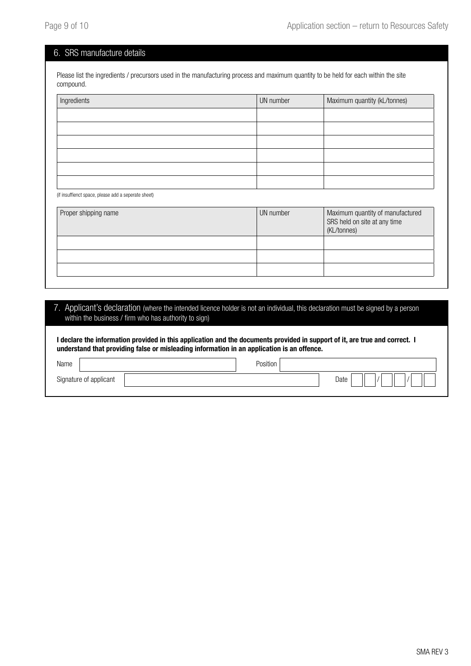## 6. SRS manufacture details

Please list the ingredients / precursors used in the manufacturing process and maximum quantity to be held for each within the site compound.

| Ingredients | UN number | Maximum quantity (kL/tonnes) |
|-------------|-----------|------------------------------|
|             |           |                              |
|             |           |                              |
|             |           |                              |
|             |           |                              |
|             |           |                              |
|             |           |                              |

(if insuffienct space, please add a seperate sheet)

| Proper shipping name | UN number | Maximum quantity of manufactured<br>SRS held on site at any time<br>(KL/tonnes) |
|----------------------|-----------|---------------------------------------------------------------------------------|
|                      |           |                                                                                 |
|                      |           |                                                                                 |
|                      |           |                                                                                 |
|                      |           |                                                                                 |

| Applicant's declaration (where the intended licence holder is not an individual, this declaration must be signed by a person<br>within the business / firm who has authority to sign)                                     |          |      |
|---------------------------------------------------------------------------------------------------------------------------------------------------------------------------------------------------------------------------|----------|------|
| I declare the information provided in this application and the documents provided in support of it, are true and correct. I<br>understand that providing false or misleading information in an application is an offence. |          |      |
| Name                                                                                                                                                                                                                      | Position |      |
| Signature of applicant                                                                                                                                                                                                    |          | Date |